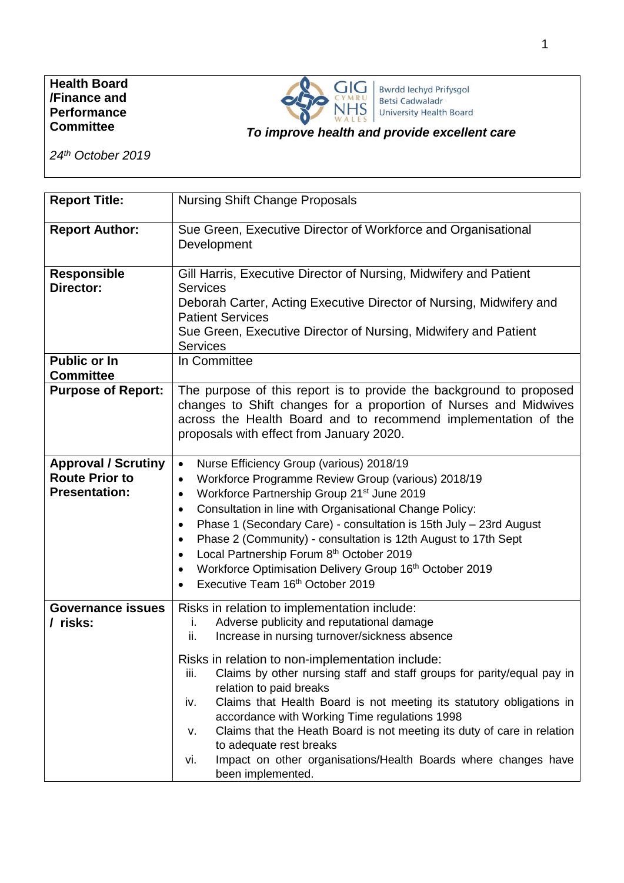### **Health Board /Finance and Performance Committee**



Bwrdd Iechyd Prifysgol<br>Betsi Cadwaladr University Health Board

## *To improve health and provide excellent care*

*24th October 2019*

| <b>Report Title:</b>                                                        | <b>Nursing Shift Change Proposals</b>                                                                                                                                                                                                                                                                                                                                                                                                                                                                                                                                                                                                                              |  |  |  |
|-----------------------------------------------------------------------------|--------------------------------------------------------------------------------------------------------------------------------------------------------------------------------------------------------------------------------------------------------------------------------------------------------------------------------------------------------------------------------------------------------------------------------------------------------------------------------------------------------------------------------------------------------------------------------------------------------------------------------------------------------------------|--|--|--|
| <b>Report Author:</b>                                                       | Sue Green, Executive Director of Workforce and Organisational<br>Development                                                                                                                                                                                                                                                                                                                                                                                                                                                                                                                                                                                       |  |  |  |
| <b>Responsible</b><br>Director:                                             | Gill Harris, Executive Director of Nursing, Midwifery and Patient<br><b>Services</b><br>Deborah Carter, Acting Executive Director of Nursing, Midwifery and<br><b>Patient Services</b><br>Sue Green, Executive Director of Nursing, Midwifery and Patient<br><b>Services</b>                                                                                                                                                                                                                                                                                                                                                                                       |  |  |  |
| <b>Public or In</b><br><b>Committee</b>                                     | In Committee                                                                                                                                                                                                                                                                                                                                                                                                                                                                                                                                                                                                                                                       |  |  |  |
| <b>Purpose of Report:</b>                                                   | The purpose of this report is to provide the background to proposed<br>changes to Shift changes for a proportion of Nurses and Midwives<br>across the Health Board and to recommend implementation of the<br>proposals with effect from January 2020.                                                                                                                                                                                                                                                                                                                                                                                                              |  |  |  |
| <b>Approval / Scrutiny</b><br><b>Route Prior to</b><br><b>Presentation:</b> | Nurse Efficiency Group (various) 2018/19<br>$\bullet$<br>Workforce Programme Review Group (various) 2018/19<br>$\bullet$<br>Workforce Partnership Group 21 <sup>st</sup> June 2019<br>$\bullet$<br>Consultation in line with Organisational Change Policy:<br>$\bullet$<br>Phase 1 (Secondary Care) - consultation is 15th July - 23rd August<br>$\bullet$<br>Phase 2 (Community) - consultation is 12th August to 17th Sept<br>$\bullet$<br>Local Partnership Forum 8th October 2019<br>Workforce Optimisation Delivery Group 16th October 2019<br>$\bullet$<br>Executive Team 16 <sup>th</sup> October 2019                                                      |  |  |  |
| <b>Governance issues</b><br>/ risks:                                        | Risks in relation to implementation include:<br>Adverse publicity and reputational damage<br>۱.<br>Increase in nursing turnover/sickness absence<br>ii.<br>Risks in relation to non-implementation include:<br>Claims by other nursing staff and staff groups for parity/equal pay in<br>iii.<br>relation to paid breaks<br>Claims that Health Board is not meeting its statutory obligations in<br>iv.<br>accordance with Working Time regulations 1998<br>Claims that the Heath Board is not meeting its duty of care in relation<br>v.<br>to adequate rest breaks<br>Impact on other organisations/Health Boards where changes have<br>vi.<br>been implemented. |  |  |  |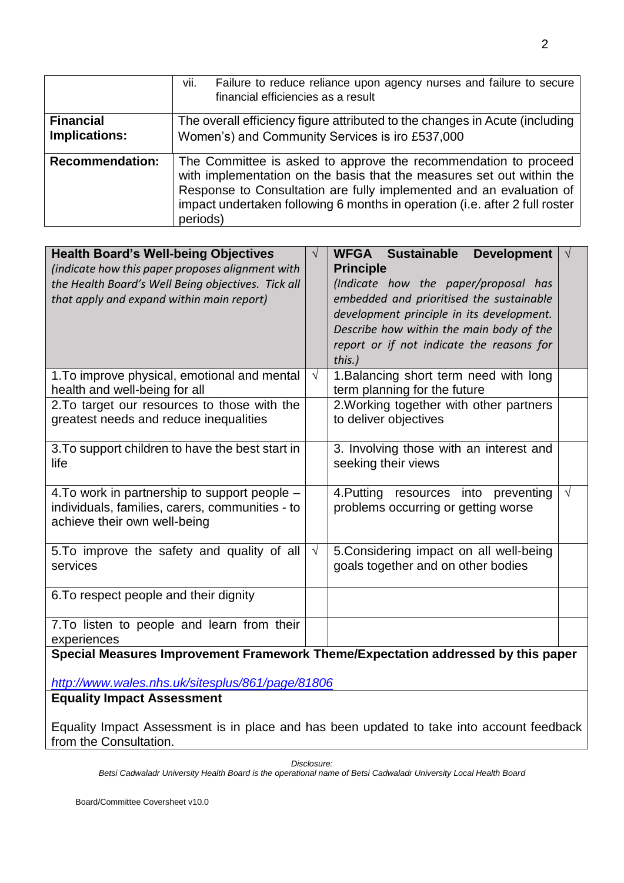|                                   | vii.<br>Failure to reduce reliance upon agency nurses and failure to secure<br>financial efficiencies as a result                                                                                                                                                                                          |
|-----------------------------------|------------------------------------------------------------------------------------------------------------------------------------------------------------------------------------------------------------------------------------------------------------------------------------------------------------|
| <b>Financial</b><br>Implications: | The overall efficiency figure attributed to the changes in Acute (including<br>Women's) and Community Services is iro £537,000                                                                                                                                                                             |
| <b>Recommendation:</b>            | The Committee is asked to approve the recommendation to proceed<br>with implementation on the basis that the measures set out within the<br>Response to Consultation are fully implemented and an evaluation of<br>impact undertaken following 6 months in operation (i.e. after 2 full roster<br>periods) |

| <b>Health Board's Well-being Objectives</b><br>(indicate how this paper proposes alignment with<br>the Health Board's Well Being objectives. Tick all<br>that apply and expand within main report) | $\sqrt{}$  | WFGA Sustainable<br><b>Development</b><br><b>Principle</b><br>(Indicate how the paper/proposal has<br>embedded and prioritised the sustainable<br>development principle in its development.<br>Describe how within the main body of the<br>report or if not indicate the reasons for<br>this.) |           |  |
|----------------------------------------------------------------------------------------------------------------------------------------------------------------------------------------------------|------------|------------------------------------------------------------------------------------------------------------------------------------------------------------------------------------------------------------------------------------------------------------------------------------------------|-----------|--|
| 1. To improve physical, emotional and mental<br>health and well-being for all                                                                                                                      | $\sqrt{ }$ | 1. Balancing short term need with long<br>term planning for the future                                                                                                                                                                                                                         |           |  |
| 2. To target our resources to those with the<br>greatest needs and reduce inequalities                                                                                                             |            | 2. Working together with other partners<br>to deliver objectives                                                                                                                                                                                                                               |           |  |
| 3. To support children to have the best start in<br>life                                                                                                                                           |            | 3. Involving those with an interest and<br>seeking their views                                                                                                                                                                                                                                 |           |  |
| 4. To work in partnership to support people –<br>individuals, families, carers, communities - to<br>achieve their own well-being                                                                   |            | 4. Putting resources into preventing<br>problems occurring or getting worse                                                                                                                                                                                                                    | $\sqrt{}$ |  |
| 5. To improve the safety and quality of all<br>services                                                                                                                                            | $\sqrt{}$  | 5. Considering impact on all well-being<br>goals together and on other bodies                                                                                                                                                                                                                  |           |  |
| 6. To respect people and their dignity                                                                                                                                                             |            |                                                                                                                                                                                                                                                                                                |           |  |
| 7. To listen to people and learn from their<br>experiences                                                                                                                                         |            |                                                                                                                                                                                                                                                                                                |           |  |
| Special Measures Improvement Framework Theme/Expectation addressed by this paper                                                                                                                   |            |                                                                                                                                                                                                                                                                                                |           |  |

*<http://www.wales.nhs.uk/sitesplus/861/page/81806>*

# **Equality Impact Assessment**

Equality Impact Assessment is in place and has been updated to take into account feedback from the Consultation.

*Disclosure: Betsi Cadwaladr University Health Board is the operational name of Betsi Cadwaladr University Local Health Board*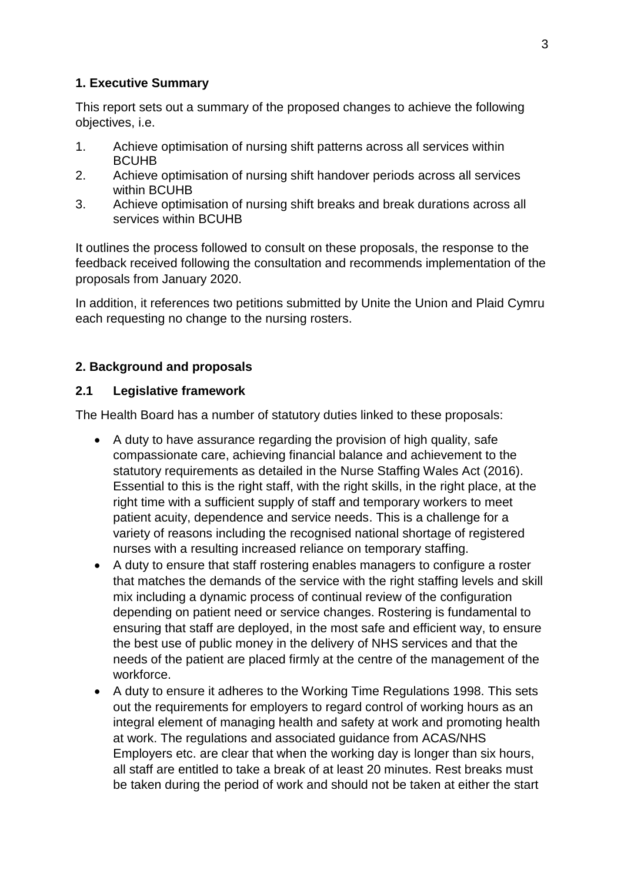## **1. Executive Summary**

This report sets out a summary of the proposed changes to achieve the following objectives, i.e.

- 1. Achieve optimisation of nursing shift patterns across all services within BCUHB
- 2. Achieve optimisation of nursing shift handover periods across all services within BCUHB
- 3. Achieve optimisation of nursing shift breaks and break durations across all services within BCUHB

It outlines the process followed to consult on these proposals, the response to the feedback received following the consultation and recommends implementation of the proposals from January 2020.

In addition, it references two petitions submitted by Unite the Union and Plaid Cymru each requesting no change to the nursing rosters.

## **2. Background and proposals**

## **2.1 Legislative framework**

The Health Board has a number of statutory duties linked to these proposals:

- A duty to have assurance regarding the provision of high quality, safe compassionate care, achieving financial balance and achievement to the statutory requirements as detailed in the Nurse Staffing Wales Act (2016). Essential to this is the right staff, with the right skills, in the right place, at the right time with a sufficient supply of staff and temporary workers to meet patient acuity, dependence and service needs. This is a challenge for a variety of reasons including the recognised national shortage of registered nurses with a resulting increased reliance on temporary staffing.
- A duty to ensure that staff rostering enables managers to configure a roster that matches the demands of the service with the right staffing levels and skill mix including a dynamic process of continual review of the configuration depending on patient need or service changes. Rostering is fundamental to ensuring that staff are deployed, in the most safe and efficient way, to ensure the best use of public money in the delivery of NHS services and that the needs of the patient are placed firmly at the centre of the management of the workforce.
- A duty to ensure it adheres to the Working Time Regulations 1998. This sets out the requirements for employers to regard control of working hours as an integral element of managing health and safety at work and promoting health at work. The regulations and associated guidance from ACAS/NHS Employers etc. are clear that when the working day is longer than six hours, all staff are entitled to take a break of at least 20 minutes. Rest breaks must be taken during the period of work and should not be taken at either the start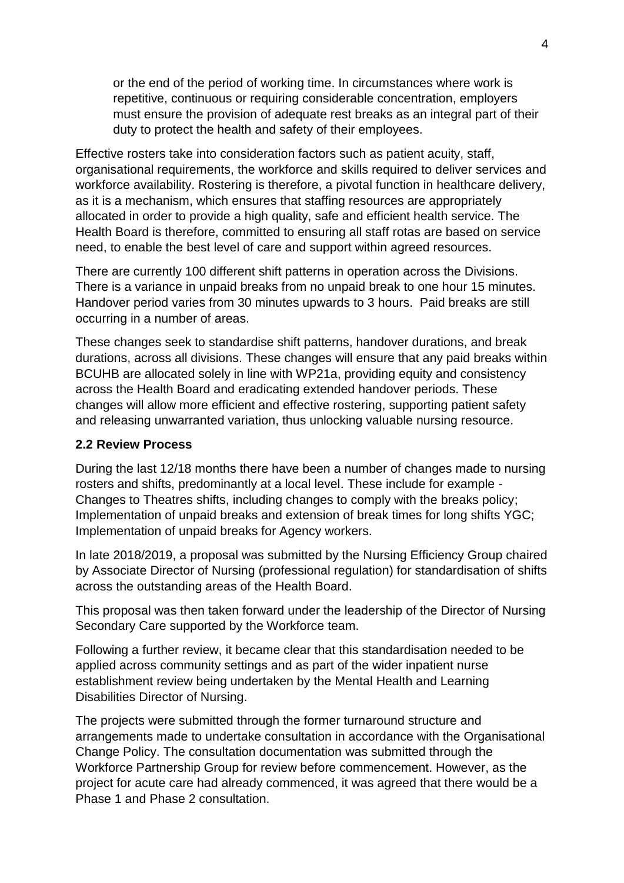or the end of the period of working time. In circumstances where work is repetitive, continuous or requiring considerable concentration, employers must ensure the provision of adequate rest breaks as an integral part of their duty to protect the health and safety of their employees.

Effective rosters take into consideration factors such as patient acuity, staff, organisational requirements, the workforce and skills required to deliver services and workforce availability. Rostering is therefore, a pivotal function in healthcare delivery, as it is a mechanism, which ensures that staffing resources are appropriately allocated in order to provide a high quality, safe and efficient health service. The Health Board is therefore, committed to ensuring all staff rotas are based on service need, to enable the best level of care and support within agreed resources.

There are currently 100 different shift patterns in operation across the Divisions. There is a variance in unpaid breaks from no unpaid break to one hour 15 minutes. Handover period varies from 30 minutes upwards to 3 hours. Paid breaks are still occurring in a number of areas.

These changes seek to standardise shift patterns, handover durations, and break durations, across all divisions. These changes will ensure that any paid breaks within BCUHB are allocated solely in line with WP21a, providing equity and consistency across the Health Board and eradicating extended handover periods. These changes will allow more efficient and effective rostering, supporting patient safety and releasing unwarranted variation, thus unlocking valuable nursing resource.

#### **2.2 Review Process**

During the last 12/18 months there have been a number of changes made to nursing rosters and shifts, predominantly at a local level. These include for example - Changes to Theatres shifts, including changes to comply with the breaks policy; Implementation of unpaid breaks and extension of break times for long shifts YGC; Implementation of unpaid breaks for Agency workers.

In late 2018/2019, a proposal was submitted by the Nursing Efficiency Group chaired by Associate Director of Nursing (professional regulation) for standardisation of shifts across the outstanding areas of the Health Board.

This proposal was then taken forward under the leadership of the Director of Nursing Secondary Care supported by the Workforce team.

Following a further review, it became clear that this standardisation needed to be applied across community settings and as part of the wider inpatient nurse establishment review being undertaken by the Mental Health and Learning Disabilities Director of Nursing.

The projects were submitted through the former turnaround structure and arrangements made to undertake consultation in accordance with the Organisational Change Policy. The consultation documentation was submitted through the Workforce Partnership Group for review before commencement. However, as the project for acute care had already commenced, it was agreed that there would be a Phase 1 and Phase 2 consultation.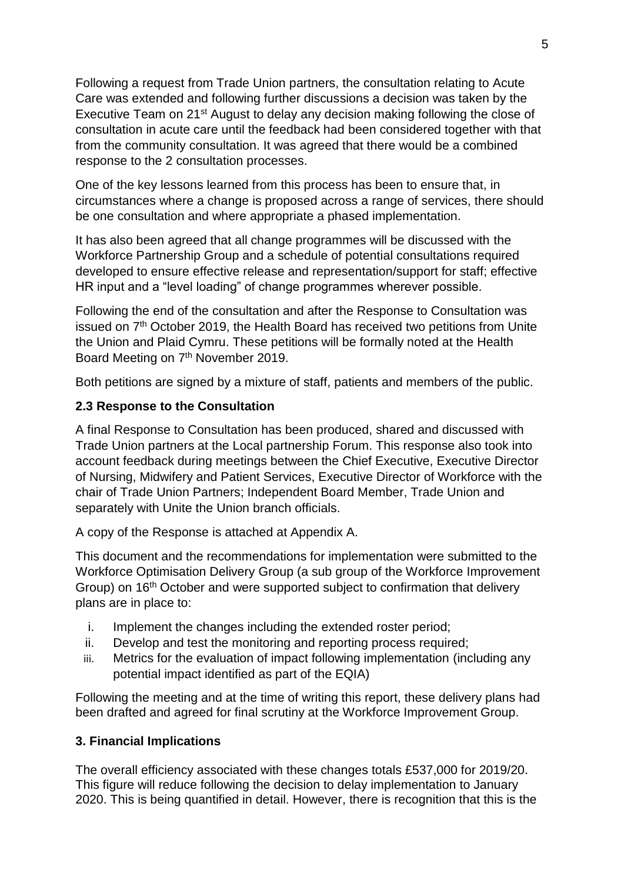Following a request from Trade Union partners, the consultation relating to Acute Care was extended and following further discussions a decision was taken by the Executive Team on 21st August to delay any decision making following the close of consultation in acute care until the feedback had been considered together with that from the community consultation. It was agreed that there would be a combined response to the 2 consultation processes.

One of the key lessons learned from this process has been to ensure that, in circumstances where a change is proposed across a range of services, there should be one consultation and where appropriate a phased implementation.

It has also been agreed that all change programmes will be discussed with the Workforce Partnership Group and a schedule of potential consultations required developed to ensure effective release and representation/support for staff; effective HR input and a "level loading" of change programmes wherever possible.

Following the end of the consultation and after the Response to Consultation was issued on 7th October 2019, the Health Board has received two petitions from Unite the Union and Plaid Cymru. These petitions will be formally noted at the Health Board Meeting on 7<sup>th</sup> November 2019.

Both petitions are signed by a mixture of staff, patients and members of the public.

## **2.3 Response to the Consultation**

A final Response to Consultation has been produced, shared and discussed with Trade Union partners at the Local partnership Forum. This response also took into account feedback during meetings between the Chief Executive, Executive Director of Nursing, Midwifery and Patient Services, Executive Director of Workforce with the chair of Trade Union Partners; Independent Board Member, Trade Union and separately with Unite the Union branch officials.

A copy of the Response is attached at Appendix A.

This document and the recommendations for implementation were submitted to the Workforce Optimisation Delivery Group (a sub group of the Workforce Improvement Group) on 16<sup>th</sup> October and were supported subject to confirmation that delivery plans are in place to:

- i. Implement the changes including the extended roster period;
- ii. Develop and test the monitoring and reporting process required;
- iii. Metrics for the evaluation of impact following implementation (including any potential impact identified as part of the EQIA)

Following the meeting and at the time of writing this report, these delivery plans had been drafted and agreed for final scrutiny at the Workforce Improvement Group.

### **3. Financial Implications**

The overall efficiency associated with these changes totals £537,000 for 2019/20. This figure will reduce following the decision to delay implementation to January 2020. This is being quantified in detail. However, there is recognition that this is the